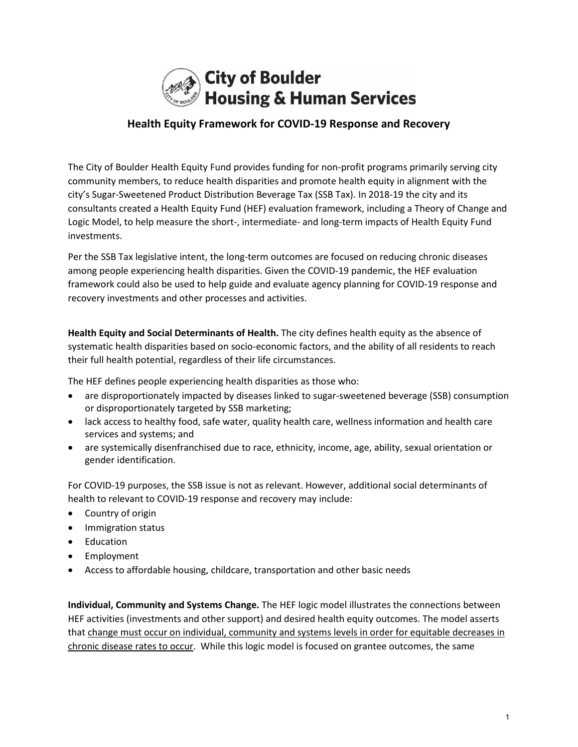

## **Health Equity Framework for COVID-19 Response and Recovery**

The City of Boulder Health Equity Fund provides funding for non-profit programs primarily serving city community members, to reduce health disparities and promote health equity in alignment with the city's Sugar-Sweetened Product Distribution Beverage Tax (SSB Tax). In 2018-19 the city and its consultants created a Health Equity Fund (HEF) evaluation framework, including a Theory of Change and Logic Model, to help measure the short-, intermediate- and long-term impacts of Health Equity Fund investments.

Per the SSB Tax legislative intent, the long-term outcomes are focused on reducing chronic diseases among people experiencing health disparities. Given the COVID-19 pandemic, the HEF evaluation framework could also be used to help guide and evaluate agency planning for COVID-19 response and recovery investments and other processes and activities.

**Health Equity and Social Determinants of Health.** The city defines health equity as the absence of systematic health disparities based on socio-economic factors, and the ability of all residents to reach their full health potential, regardless of their life circumstances.

The HEF defines people experiencing health disparities as those who:

- are disproportionately impacted by diseases linked to sugar-sweetened beverage (SSB) consumption or disproportionately targeted by SSB marketing;
- lack access to healthy food, safe water, quality health care, wellness information and health care services and systems; and
- are systemically disenfranchised due to race, ethnicity, income, age, ability, sexual orientation or gender identification.

For COVID-19 purposes, the SSB issue is not as relevant. However, additional social determinants of health to relevant to COVID-19 response and recovery may include:

- Country of origin
- Immigration status
- Education
- Employment
- Access to affordable housing, childcare, transportation and other basic needs

**Individual, Community and Systems Change.** The HEF logic model illustrates the connections between HEF activities (investments and other support) and desired health equity outcomes. The model asserts that change must occur on individual, community and systems levels in order for equitable decreases in chronic disease rates to occur. While this logic model is focused on grantee outcomes, the same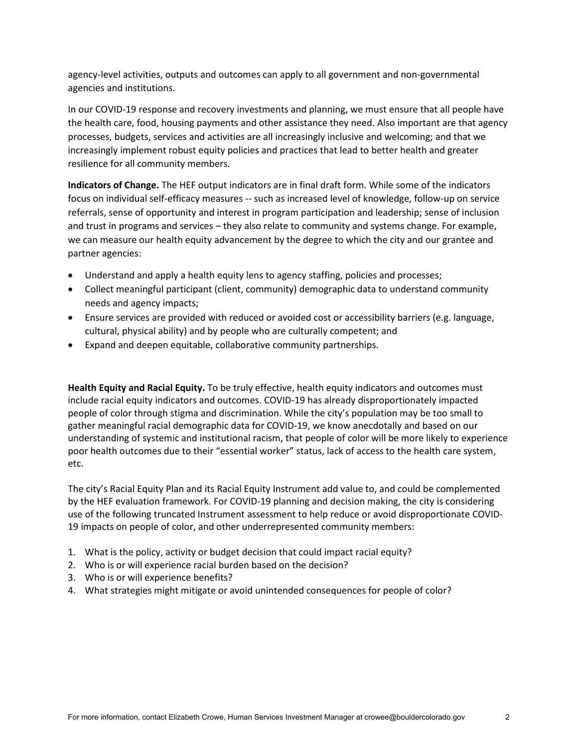agency-level activities, outputs and outcomes can apply to all government and non-governmental agencies and institutions.

In our COVID-19 response and recovery investments and planning, we must ensure that all people have the health care, food, housing payments and other assistance they need. Also important are that agency processes, budgets, services and activities are all increasingly inclusive and welcoming; and that we increasingly implement robust equity policies and practices that lead to better health and greater resilience for all community members.

**Indicators of Change.** The HEF output indicators are in final draft form. While some of the indicators focus on individual self-efficacy measures -- such as increased level of knowledge, follow-up on service referrals, sense of opportunity and interest in program participation and leadership; sense of inclusion and trust in programs and services – they also relate to community and systems change. For example, we can measure our health equity advancement by the degree to which the city and our grantee and partner agencies:

- Understand and apply a health equity lens to agency staffing, policies and processes;
- Collect meaningful participant (client, community) demographic data to understand community needs and agency impacts;
- Ensure services are provided with reduced or avoided cost or accessibility barriers (e.g. language, cultural, physical ability) and by people who are culturally competent; and
- Expand and deepen equitable, collaborative community partnerships.

**Health Equity and Racial Equity.** To be truly effective, health equity indicators and outcomes must include racial equity indicators and outcomes. COVID-19 has already disproportionately impacted people of color through stigma and discrimination. While the city's population may be too small to gather meaningful racial demographic data for COVID-19, we know anecdotally and based on our understanding of systemic and institutional racism, that people of color will be more likely to experience poor health outcomes due to their "essential worker" status, lack of access to the health care system, etc.

The city's Racial Equity Plan and its Racial Equity Instrument add value to, and could be complemented by the HEF evaluation framework. For COVID-19 planning and decision making, the city is considering use of the following truncated Instrument assessment to help reduce or avoid disproportionate COVID-19 impacts on people of color, and other underrepresented community members:

- 1. What is the policy, activity or budget decision that could impact racial equity?
- 2. Who is or will experience racial burden based on the decision?
- 3. Who is or will experience benefits?
- 4. What strategies might mitigate or avoid unintended consequences for people of color?